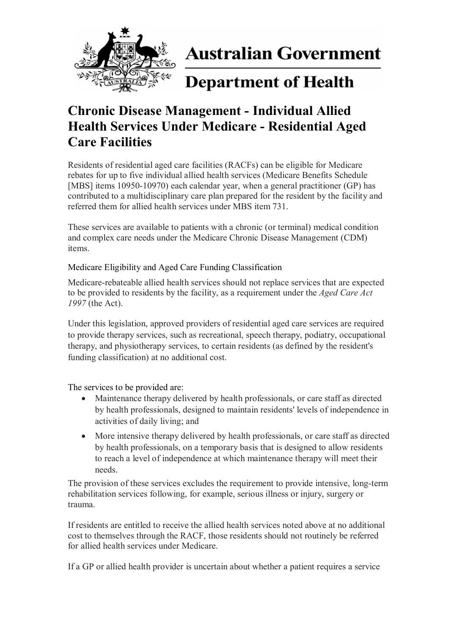

**Australian Government** 

# **Department of Health**

## **Chronic Disease Management - Individual Allied Health Services Under Medicare - Residential Aged Care Facilities**

Residents of residential aged care facilities (RACFs) can be eligible for Medicare rebates for up to five individual allied health services (Medicare Benefits Schedule [MBS] items 10950-10970) each calendar year, when a general practitioner (GP) has contributed to a multidisciplinary care plan prepared for the resident by the facility and referred them for allied health services under MBS item 731.

These services are available to patients with a chronic (or terminal) medical condition and complex care needs under the Medicare Chronic Disease Management (CDM) items.

### Medicare Eligibility and Aged Care Funding Classification

Medicare-rebateable allied health services should not replace services that are expected to be provided to residents by the facility, as a requirement under the *Aged Care Act 1997* (the Act).

Under this legislation, approved providers of residential aged care services are required to provide therapy services, such as recreational, speech therapy, podiatry, occupational therapy, and physiotherapy services, to certain residents (as defined by the resident's funding classification) at no additional cost.

The services to be provided are:

- Maintenance therapy delivered by health professionals, or care staff as directed by health professionals, designed to maintain residents' levels of independence in activities of daily living; and
- More intensive therapy delivered by health professionals, or care staff as directed by health professionals, on a temporary basis that is designed to allow residents to reach a level of independence at which maintenance therapy will meet their needs.

The provision of these services excludes the requirement to provide intensive, long-term rehabilitation services following, for example, serious illness or injury, surgery or trauma.

If residents are entitled to receive the allied health services noted above at no additional cost to themselves through the RACF, those residents should not routinely be referred for allied health services under Medicare.

If a GP or allied health provider is uncertain about whether a patient requires a service